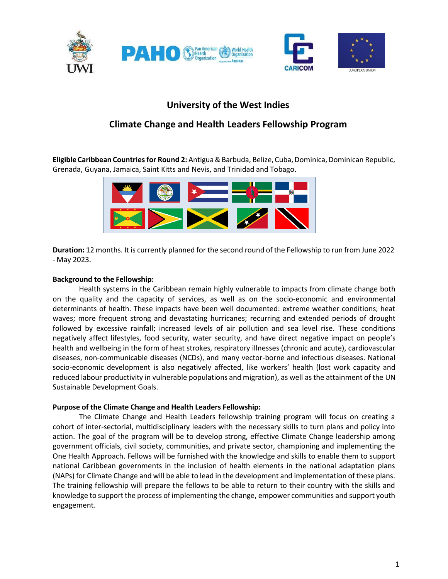

# **University of the West Indies**

# **Climate Change and Health Leaders Fellowship Program**

**Eligible Caribbean Countriesfor Round 2:** Antigua&Barbuda, Belize, Cuba,Dominica, Dominican Republic, Grenada, Guyana, Jamaica, Saint Kitts and Nevis, and Trinidad and Tobago.



**Duration:** 12 months. It is currently planned for the second round of the Fellowship to run from June 2022 - May 2023.

#### **Background to the Fellowship:**

Health systems in the Caribbean remain highly vulnerable to impacts from climate change both on the quality and the capacity of services, as well as on the socio-economic and environmental determinants of health. These impacts have been well documented: extreme weather conditions; heat waves; more frequent strong and devastating hurricanes; recurring and extended periods of drought followed by excessive rainfall; increased levels of air pollution and sea level rise. These conditions negatively affect lifestyles, food security, water security, and have direct negative impact on people's health and wellbeing in the form of heat strokes, respiratory illnesses (chronic and acute), cardiovascular diseases, non-communicable diseases (NCDs), and many vector-borne and infectious diseases. National socio-economic development is also negatively affected, like workers' health (lost work capacity and reduced labour productivity in vulnerable populations and migration), as well as the attainment of the UN Sustainable Development Goals.

#### **Purpose of the Climate Change and Health Leaders Fellowship:**

The Climate Change and Health Leaders fellowship training program will focus on creating a cohort of inter-sectorial, multidisciplinary leaders with the necessary skills to turn plans and policy into action. The goal of the program will be to develop strong, effective Climate Change leadership among government officials, civil society, communities, and private sector, championing and implementing the One Health Approach. Fellows will be furnished with the knowledge and skills to enable them to support national Caribbean governments in the inclusion of health elements in the national adaptation plans (NAPs) for Climate Change and will be able to lead in the development and implementation of these plans. The training fellowship will prepare the fellows to be able to return to their country with the skills and knowledge to support the process of implementing the change, empower communities and support youth engagement.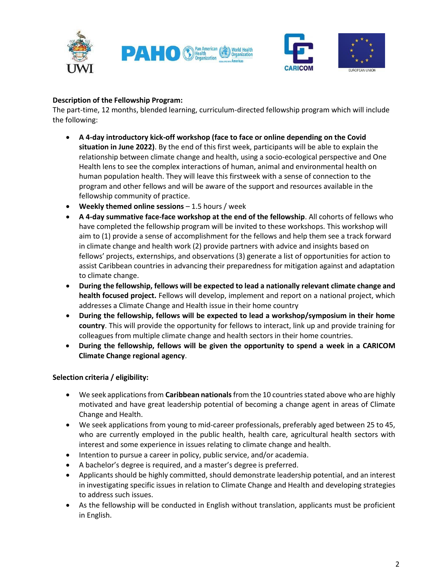



### **Description of the Fellowship Program:**

The part-time, 12 months, blended learning, curriculum-directed fellowship program which will include the following:

- **A 4-day introductory kick-off workshop (face to face or online depending on the Covid situation in June 2022)**. By the end of this first week, participants will be able to explain the relationship between climate change and health, using a socio-ecological perspective and One Health lens to see the complex interactions of human, animal and environmental health on human population health. They will leave this firstweek with a sense of connection to the program and other fellows and will be aware of the support and resources available in the fellowship community of practice.
- **Weekly themed online sessions** 1.5 hours / week
- **A 4-day summative face-face workshop at the end of the fellowship**. All cohorts of fellows who have completed the fellowship program will be invited to these workshops. This workshop will aim to (1) provide a sense of accomplishment for the fellows and help them see a track forward in climate change and health work (2) provide partners with advice and insights based on fellows' projects, externships, and observations (3) generate a list of opportunities for action to assist Caribbean countries in advancing their preparedness for mitigation against and adaptation to climate change.
- **During the fellowship, fellows will be expected to lead a nationally relevant climate change and health focused project.** Fellows will develop, implement and report on a national project, which addresses a Climate Change and Health issue in their home country
- **During the fellowship, fellows will be expected to lead a workshop/symposium in their home country**. This will provide the opportunity for fellows to interact, link up and provide training for colleagues from multiple climate change and health sectors in their home countries.
- **During the fellowship, fellows will be given the opportunity to spend a week in a CARICOM Climate Change regional agency**.

## **Selection criteria / eligibility:**

- $\bullet$  We seek applications from **Caribbean nationals** from the 10 countries stated above who are highly motivated and have great leadership potential of becoming a change agent in areas of Climate Change and Health.
- We seek applications from young to mid-career professionals, preferably aged between 25 to 45, who are currently employed in the public health, health care, agricultural health sectors with interest and some experience in issues relating to climate change and health.
- Intention to pursue a career in policy, public service, and/or academia.
- A bachelor's degree is required, and a master's degree is preferred.
- Applicants should be highly committed, should demonstrate leadership potential, and an interest in investigating specific issues in relation to Climate Change and Health and developing strategies to address such issues.
- As the fellowship will be conducted in English without translation, applicants must be proficient in English.